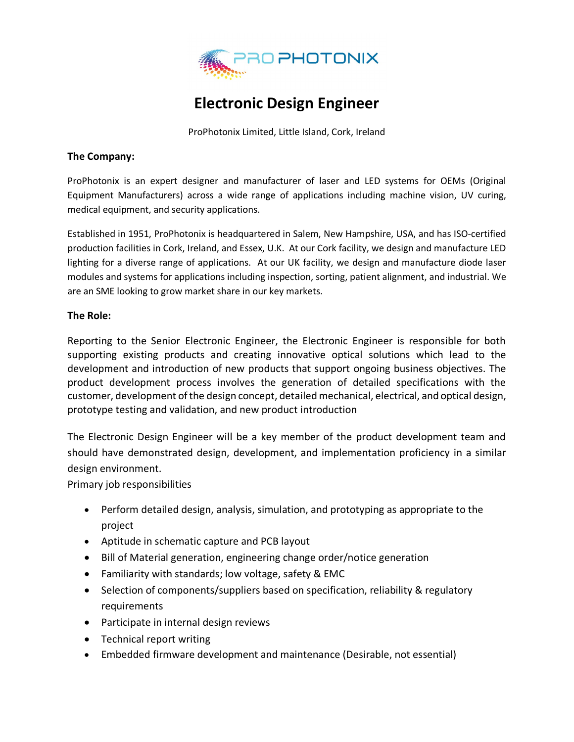

# **Electronic Design Engineer**

ProPhotonix Limited, Little Island, Cork, Ireland

#### **The Company:**

ProPhotonix is an expert designer and manufacturer of laser and LED systems for OEMs (Original Equipment Manufacturers) across a wide range of applications including machine vision, UV curing, medical equipment, and security applications.

Established in 1951, ProPhotonix is headquartered in Salem, New Hampshire, USA, and has ISO-certified production facilities in Cork, Ireland, and Essex, U.K. At our Cork facility, we design and manufacture LED lighting for a diverse range of applications. At our UK facility, we design and manufacture diode laser modules and systems for applications including inspection, sorting, patient alignment, and industrial. We are an SME looking to grow market share in our key markets.

### **The Role:**

Reporting to the Senior Electronic Engineer, the Electronic Engineer is responsible for both supporting existing products and creating innovative optical solutions which lead to the development and introduction of new products that support ongoing business objectives. The product development process involves the generation of detailed specifications with the customer, development of the design concept, detailed mechanical, electrical, and optical design, prototype testing and validation, and new product introduction

The Electronic Design Engineer will be a key member of the product development team and should have demonstrated design, development, and implementation proficiency in a similar design environment.

Primary job responsibilities

- Perform detailed design, analysis, simulation, and prototyping as appropriate to the project
- Aptitude in schematic capture and PCB layout
- Bill of Material generation, engineering change order/notice generation
- Familiarity with standards; low voltage, safety & EMC
- Selection of components/suppliers based on specification, reliability & regulatory requirements
- Participate in internal design reviews
- Technical report writing
- Embedded firmware development and maintenance (Desirable, not essential)